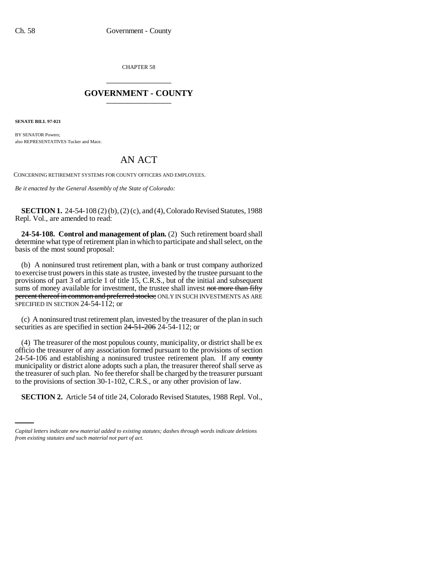CHAPTER 58 \_\_\_\_\_\_\_\_\_\_\_\_\_\_\_

## **GOVERNMENT - COUNTY** \_\_\_\_\_\_\_\_\_\_\_\_\_\_\_

**SENATE BILL 97-021**

BY SENATOR Powers: also REPRESENTATIVES Tucker and Mace.

## AN ACT

CONCERNING RETIREMENT SYSTEMS FOR COUNTY OFFICERS AND EMPLOYEES.

*Be it enacted by the General Assembly of the State of Colorado:*

**SECTION 1.** 24-54-108 (2) (b), (2) (c), and (4), Colorado Revised Statutes, 1988 Repl. Vol., are amended to read:

**24-54-108. Control and management of plan.** (2) Such retirement board shall determine what type of retirement plan in which to participate and shall select, on the basis of the most sound proposal:

(b) A noninsured trust retirement plan, with a bank or trust company authorized to exercise trust powers in this state as trustee, invested by the trustee pursuant to the provisions of part 3 of article 1 of title 15, C.R.S., but of the initial and subsequent sums of money available for investment, the trustee shall invest not more than fifty percent thereof in common and preferred stocks; ONLY IN SUCH INVESTMENTS AS ARE SPECIFIED IN SECTION 24-54-112; or

(c) A noninsured trust retirement plan, invested by the treasurer of the plan in such securities as are specified in section  $24-51-206$  24-54-112; or

to the provisions of section 30-1-102, C.R.S., or any other provision of law. (4) The treasurer of the most populous county, municipality, or district shall be ex officio the treasurer of any association formed pursuant to the provisions of section 24-54-106 and establishing a noninsured trustee retirement plan. If any county municipality or district alone adopts such a plan, the treasurer thereof shall serve as the treasurer of such plan. No fee therefor shall be charged by the treasurer pursuant

**SECTION 2.** Article 54 of title 24, Colorado Revised Statutes, 1988 Repl. Vol.,

*Capital letters indicate new material added to existing statutes; dashes through words indicate deletions from existing statutes and such material not part of act.*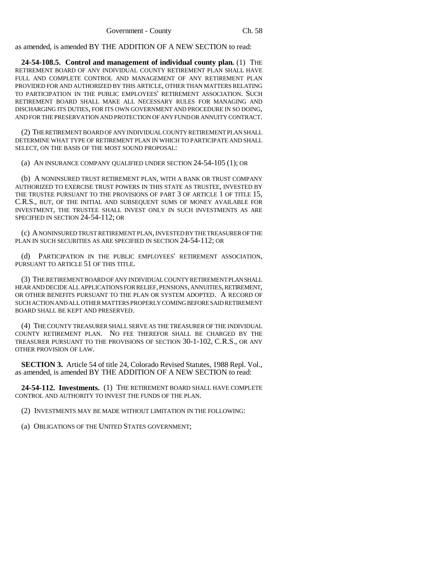as amended, is amended BY THE ADDITION OF A NEW SECTION to read:

**24-54-108.5. Control and management of individual county plan.** (1) THE RETIREMENT BOARD OF ANY INDIVIDUAL COUNTY RETIREMENT PLAN SHALL HAVE FULL AND COMPLETE CONTROL AND MANAGEMENT OF ANY RETIREMENT PLAN PROVIDED FOR AND AUTHORIZED BY THIS ARTICLE, OTHER THAN MATTERS RELATING TO PARTICIPATION IN THE PUBLIC EMPLOYEES' RETIREMENT ASSOCIATION. SUCH RETIREMENT BOARD SHALL MAKE ALL NECESSARY RULES FOR MANAGING AND DISCHARGING ITS DUTIES, FOR ITS OWN GOVERNMENT AND PROCEDURE IN SO DOING, AND FOR THE PRESERVATION AND PROTECTION OF ANY FUND OR ANNUITY CONTRACT.

(2) THE RETIREMENT BOARD OF ANY INDIVIDUAL COUNTY RETIREMENT PLAN SHALL DETERMINE WHAT TYPE OF RETIREMENT PLAN IN WHICH TO PARTICIPATE AND SHALL SELECT, ON THE BASIS OF THE MOST SOUND PROPOSAL:

(a) AN INSURANCE COMPANY QUALIFIED UNDER SECTION 24-54-105 (1); OR

(b) A NONINSURED TRUST RETIREMENT PLAN, WITH A BANK OR TRUST COMPANY AUTHORIZED TO EXERCISE TRUST POWERS IN THIS STATE AS TRUSTEE, INVESTED BY THE TRUSTEE PURSUANT TO THE PROVISIONS OF PART 3 OF ARTICLE 1 OF TITLE 15, C.R.S., BUT, OF THE INITIAL AND SUBSEQUENT SUMS OF MONEY AVAILABLE FOR INVESTMENT, THE TRUSTEE SHALL INVEST ONLY IN SUCH INVESTMENTS AS ARE SPECIFIED IN SECTION 24-54-112; OR

(c) A NONINSURED TRUST RETIREMENT PLAN, INVESTED BY THE TREASURER OF THE PLAN IN SUCH SECURITIES AS ARE SPECIFIED IN SECTION 24-54-112; OR

(d) PARTICIPATION IN THE PUBLIC EMPLOYEES' RETIREMENT ASSOCIATION, PURSUANT TO ARTICLE 51 OF THIS TITLE.

(3) THE RETIREMENT BOARD OF ANY INDIVIDUAL COUNTY RETIREMENT PLAN SHALL HEAR AND DECIDE ALL APPLICATIONS FOR RELIEF, PENSIONS, ANNUITIES, RETIREMENT, OR OTHER BENEFITS PURSUANT TO THE PLAN OR SYSTEM ADOPTED. A RECORD OF SUCH ACTION AND ALL OTHER MATTERS PROPERLY COMING BEFORE SAID RETIREMENT BOARD SHALL BE KEPT AND PRESERVED.

(4) THE COUNTY TREASURER SHALL SERVE AS THE TREASURER OF THE INDIVIDUAL COUNTY RETIREMENT PLAN. NO FEE THEREFOR SHALL BE CHARGED BY THE TREASURER PURSUANT TO THE PROVISIONS OF SECTION 30-1-102, C.R.S., OR ANY OTHER PROVISION OF LAW.

**SECTION 3.** Article 54 of title 24, Colorado Revised Statutes, 1988 Repl. Vol., as amended, is amended BY THE ADDITION OF A NEW SECTION to read:

**24-54-112. Investments.** (1) THE RETIREMENT BOARD SHALL HAVE COMPLETE CONTROL AND AUTHORITY TO INVEST THE FUNDS OF THE PLAN.

(2) INVESTMENTS MAY BE MADE WITHOUT LIMITATION IN THE FOLLOWING:

(a) OBLIGATIONS OF THE UNITED STATES GOVERNMENT;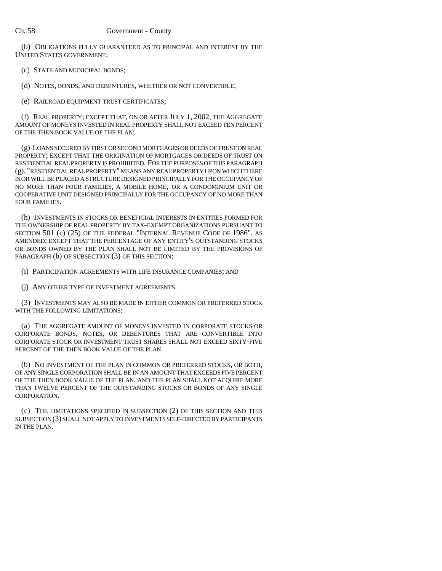(b) OBLIGATIONS FULLY GUARANTEED AS TO PRINCIPAL AND INTEREST BY THE UNITED STATES GOVERNMENT;

- (c) STATE AND MUNICIPAL BONDS;
- (d) NOTES, BONDS, AND DEBENTURES, WHETHER OR NOT CONVERTIBLE;
- (e) RAILROAD EQUIPMENT TRUST CERTIFICATES;

(f) REAL PROPERTY; EXCEPT THAT, ON OR AFTER JULY 1, 2002, THE AGGREGATE AMOUNT OF MONEYS INVESTED IN REAL PROPERTY SHALL NOT EXCEED TEN PERCENT OF THE THEN BOOK VALUE OF THE PLAN;

(g) LOANS SECURED BY FIRST OR SECOND MORTGAGES OR DEEDS OF TRUST ON REAL PROPERTY; EXCEPT THAT THE ORIGINATION OF MORTGAGES OR DEEDS OF TRUST ON RESIDENTIAL REAL PROPERTY IS PROHIBITED. FOR THE PURPOSES OF THIS PARAGRAPH (g), "RESIDENTIAL REAL PROPERTY" MEANS ANY REAL PROPERTY UPON WHICH THERE IS OR WILL BE PLACED A STRUCTURE DESIGNED PRINCIPALLY FOR THE OCCUPANCY OF NO MORE THAN FOUR FAMILIES, A MOBILE HOME, OR A CONDOMINIUM UNIT OR COOPERATIVE UNIT DESIGNED PRINCIPALLY FOR THE OCCUPANCY OF NO MORE THAN FOUR FAMILIES.

(h) INVESTMENTS IN STOCKS OR BENEFICIAL INTERESTS IN ENTITIES FORMED FOR THE OWNERSHIP OF REAL PROPERTY BY TAX-EXEMPT ORGANIZATIONS PURSUANT TO SECTION 501 (c) (25) OF THE FEDERAL "INTERNAL REVENUE CODE OF 1986", AS AMENDED; EXCEPT THAT THE PERCENTAGE OF ANY ENTITY'S OUTSTANDING STOCKS OR BONDS OWNED BY THE PLAN SHALL NOT BE LIMITED BY THE PROVISIONS OF PARAGRAPH (b) OF SUBSECTION (3) OF THIS SECTION;

(i) PARTICIPATION AGREEMENTS WITH LIFE INSURANCE COMPANIES; AND

(j) ANY OTHER TYPE OF INVESTMENT AGREEMENTS.

(3) INVESTMENTS MAY ALSO BE MADE IN EITHER COMMON OR PREFERRED STOCK WITH THE FOLLOWING LIMITATIONS:

(a) THE AGGREGATE AMOUNT OF MONEYS INVESTED IN CORPORATE STOCKS OR CORPORATE BONDS, NOTES, OR DEBENTURES THAT ARE CONVERTIBLE INTO CORPORATE STOCK OR INVESTMENT TRUST SHARES SHALL NOT EXCEED SIXTY-FIVE PERCENT OF THE THEN BOOK VALUE OF THE PLAN.

(b) NO INVESTMENT OF THE PLAN IN COMMON OR PREFERRED STOCKS, OR BOTH, OF ANY SINGLE CORPORATION SHALL BE IN AN AMOUNT THAT EXCEEDS FIVE PERCENT OF THE THEN BOOK VALUE OF THE PLAN, AND THE PLAN SHALL NOT ACQUIRE MORE THAN TWELVE PERCENT OF THE OUTSTANDING STOCKS OR BONDS OF ANY SINGLE CORPORATION.

(c) THE LIMITATIONS SPECIFIED IN SUBSECTION (2) OF THIS SECTION AND THIS SUBSECTION (3) SHALL NOT APPLY TO INVESTMENTS SELF-DIRECTED BY PARTICIPANTS IN THE PLAN.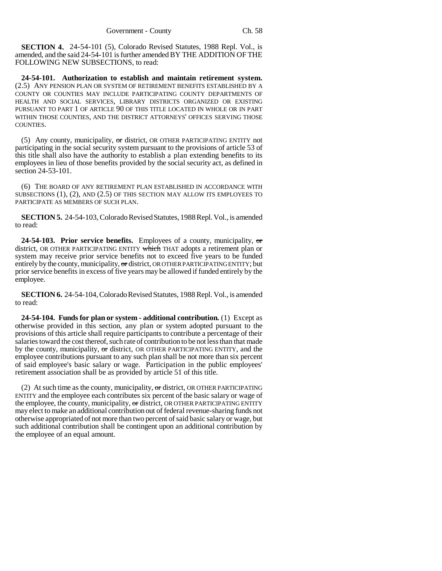**SECTION 4.** 24-54-101 (5), Colorado Revised Statutes, 1988 Repl. Vol., is amended, and the said 24-54-101 is further amended BY THE ADDITION OF THE FOLLOWING NEW SUBSECTIONS, to read:

**24-54-101. Authorization to establish and maintain retirement system.** (2.5) ANY PENSION PLAN OR SYSTEM OF RETIREMENT BENEFITS ESTABLISHED BY A COUNTY OR COUNTIES MAY INCLUDE PARTICIPATING COUNTY DEPARTMENTS OF HEALTH AND SOCIAL SERVICES, LIBRARY DISTRICTS ORGANIZED OR EXISTING PURSUANT TO PART 1 OF ARTICLE 90 OF THIS TITLE LOCATED IN WHOLE OR IN PART WITHIN THOSE COUNTIES, AND THE DISTRICT ATTORNEYS' OFFICES SERVING THOSE COUNTIES.

(5) Any county, municipality,  $\sigma r$  district, OR OTHER PARTICIPATING ENTITY not participating in the social security system pursuant to the provisions of article 53 of this title shall also have the authority to establish a plan extending benefits to its employees in lieu of those benefits provided by the social security act, as defined in section 24-53-101.

(6) THE BOARD OF ANY RETIREMENT PLAN ESTABLISHED IN ACCORDANCE WITH SUBSECTIONS (1), (2), AND (2.5) OF THIS SECTION MAY ALLOW ITS EMPLOYEES TO PARTICIPATE AS MEMBERS OF SUCH PLAN.

**SECTION 5.** 24-54-103, Colorado Revised Statutes, 1988 Repl. Vol., is amended to read:

**24-54-103. Prior service benefits.** Employees of a county, municipality, or district, OR OTHER PARTICIPATING ENTITY which THAT adopts a retirement plan or system may receive prior service benefits not to exceed five years to be funded entirely by the county, municipality, or district, OR OTHER PARTICIPATING ENTITY; but prior service benefits in excess of five years may be allowed if funded entirely by the employee.

**SECTION 6.** 24-54-104, Colorado Revised Statutes, 1988 Repl. Vol., is amended to read:

**24-54-104. Funds for plan or system - additional contribution.** (1) Except as otherwise provided in this section, any plan or system adopted pursuant to the provisions of this article shall require participants to contribute a percentage of their salaries toward the cost thereof, such rate of contribution to be not less than that made by the county, municipality,  $\sigma$  district, OR OTHER PARTICIPATING ENTITY, and the employee contributions pursuant to any such plan shall be not more than six percent of said employee's basic salary or wage. Participation in the public employees' retirement association shall be as provided by article 51 of this title.

(2) At such time as the county, municipality,  $\sigma r$  district, OR OTHER PARTICIPATING ENTITY and the employee each contributes six percent of the basic salary or wage of the employee, the county, municipality, or district, OR OTHER PARTICIPATING ENTITY may elect to make an additional contribution out of federal revenue-sharing funds not otherwise appropriated of not more than two percent of said basic salary or wage, but such additional contribution shall be contingent upon an additional contribution by the employee of an equal amount.